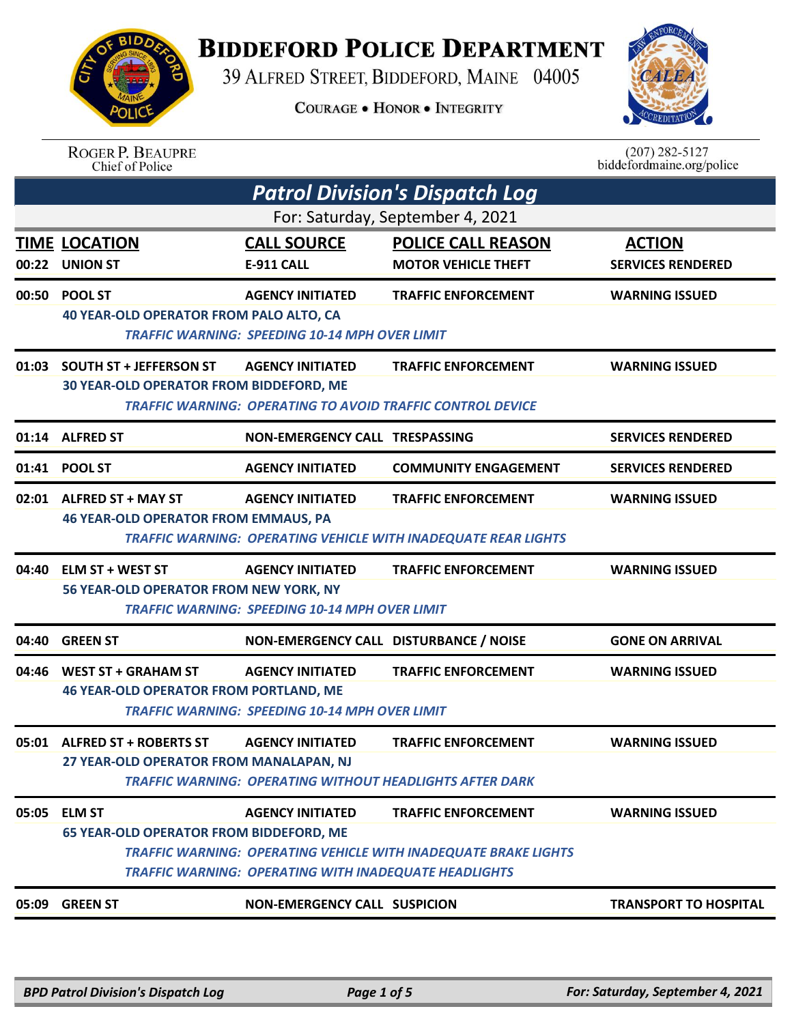## **BIDDEFORD POLICE DEPARTMENT**

39 ALFRED STREET, BIDDEFORD, MAINE 04005

**COURAGE . HONOR . INTEGRITY** 



ROGER P. BEAUPRE<br>Chief of Police

 $(207)$  282-5127 biddefordmaine.org/police

|       | <b>Patrol Division's Dispatch Log</b>                                           |                                                                                         |                                                                                                      |                                           |  |  |
|-------|---------------------------------------------------------------------------------|-----------------------------------------------------------------------------------------|------------------------------------------------------------------------------------------------------|-------------------------------------------|--|--|
|       | For: Saturday, September 4, 2021                                                |                                                                                         |                                                                                                      |                                           |  |  |
|       | <b>TIME LOCATION</b><br>00:22 UNION ST                                          | <b>CALL SOURCE</b><br>E-911 CALL                                                        | <b>POLICE CALL REASON</b><br><b>MOTOR VEHICLE THEFT</b>                                              | <b>ACTION</b><br><b>SERVICES RENDERED</b> |  |  |
|       | 00:50 POOL ST<br><b>40 YEAR-OLD OPERATOR FROM PALO ALTO, CA</b>                 | <b>AGENCY INITIATED</b><br><b>TRAFFIC WARNING: SPEEDING 10-14 MPH OVER LIMIT</b>        | <b>TRAFFIC ENFORCEMENT</b>                                                                           | <b>WARNING ISSUED</b>                     |  |  |
|       | 01:03 SOUTH ST + JEFFERSON ST<br><b>30 YEAR-OLD OPERATOR FROM BIDDEFORD, ME</b> | <b>AGENCY INITIATED</b>                                                                 | <b>TRAFFIC ENFORCEMENT</b><br><b>TRAFFIC WARNING: OPERATING TO AVOID TRAFFIC CONTROL DEVICE</b>      | <b>WARNING ISSUED</b>                     |  |  |
|       | 01:14 ALFRED ST                                                                 | NON-EMERGENCY CALL TRESPASSING                                                          |                                                                                                      | <b>SERVICES RENDERED</b>                  |  |  |
|       | 01:41 POOL ST                                                                   | <b>AGENCY INITIATED</b>                                                                 | <b>COMMUNITY ENGAGEMENT</b>                                                                          | <b>SERVICES RENDERED</b>                  |  |  |
|       | 02:01 ALFRED ST + MAY ST<br><b>46 YEAR-OLD OPERATOR FROM EMMAUS, PA</b>         | <b>AGENCY INITIATED</b>                                                                 | <b>TRAFFIC ENFORCEMENT</b><br><b>TRAFFIC WARNING: OPERATING VEHICLE WITH INADEQUATE REAR LIGHTS</b>  | <b>WARNING ISSUED</b>                     |  |  |
| 04:40 | <b>ELM ST + WEST ST</b><br>56 YEAR-OLD OPERATOR FROM NEW YORK, NY               | <b>AGENCY INITIATED</b><br><b>TRAFFIC WARNING: SPEEDING 10-14 MPH OVER LIMIT</b>        | <b>TRAFFIC ENFORCEMENT</b>                                                                           | <b>WARNING ISSUED</b>                     |  |  |
| 04:40 | <b>GREEN ST</b>                                                                 | NON-EMERGENCY CALL DISTURBANCE / NOISE                                                  |                                                                                                      | <b>GONE ON ARRIVAL</b>                    |  |  |
|       | 04:46 WEST ST + GRAHAM ST<br><b>46 YEAR-OLD OPERATOR FROM PORTLAND, ME</b>      | <b>AGENCY INITIATED</b><br><b>TRAFFIC WARNING: SPEEDING 10-14 MPH OVER LIMIT</b>        | <b>TRAFFIC ENFORCEMENT</b>                                                                           | <b>WARNING ISSUED</b>                     |  |  |
|       | 05:01 ALFRED ST + ROBERTS ST<br>27 YEAR-OLD OPERATOR FROM MANALAPAN, NJ         | <b>AGENCY INITIATED</b>                                                                 | <b>TRAFFIC ENFORCEMENT</b><br><b>TRAFFIC WARNING: OPERATING WITHOUT HEADLIGHTS AFTER DARK</b>        | <b>WARNING ISSUED</b>                     |  |  |
| 05:05 | <b>ELM ST</b><br><b>65 YEAR-OLD OPERATOR FROM BIDDEFORD, ME</b>                 | <b>AGENCY INITIATED</b><br><b>TRAFFIC WARNING: OPERATING WITH INADEQUATE HEADLIGHTS</b> | <b>TRAFFIC ENFORCEMENT</b><br><b>TRAFFIC WARNING: OPERATING VEHICLE WITH INADEQUATE BRAKE LIGHTS</b> | <b>WARNING ISSUED</b>                     |  |  |
|       | 05:09 GREEN ST                                                                  | <b>NON-EMERGENCY CALL SUSPICION</b>                                                     |                                                                                                      | <b>TRANSPORT TO HOSPITAL</b>              |  |  |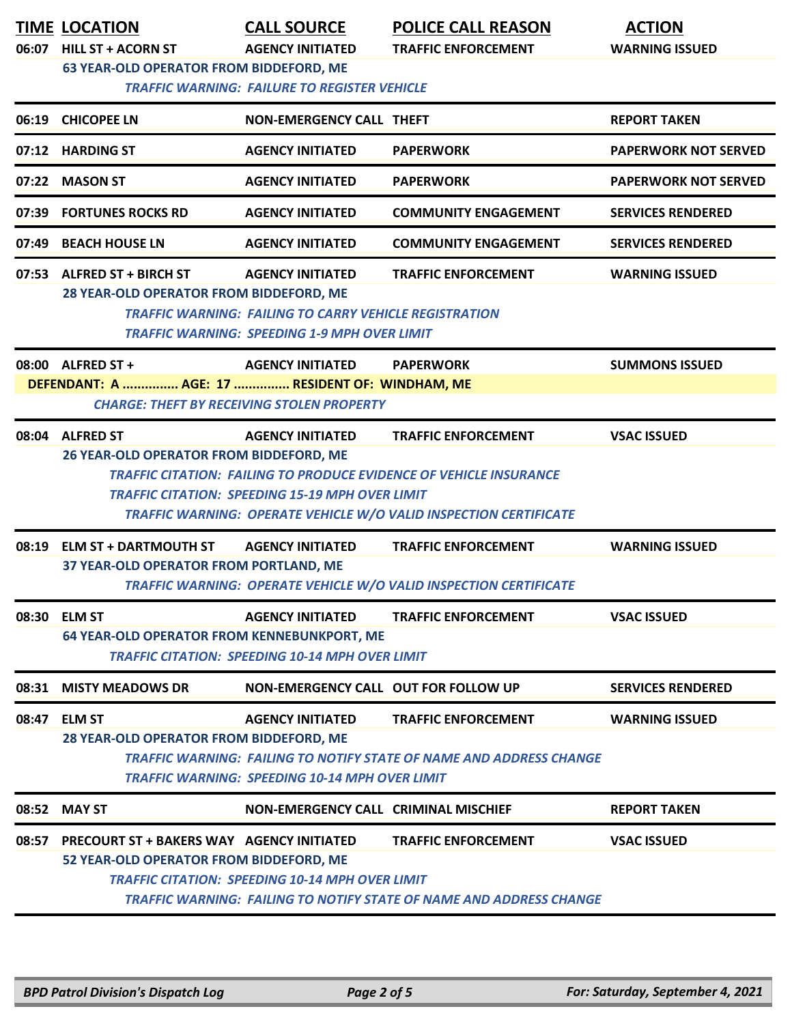|       | <b>TIME LOCATION</b><br>06:07 HILL ST + ACORN ST<br><b>63 YEAR-OLD OPERATOR FROM BIDDEFORD, ME</b> | <b>CALL SOURCE</b><br><b>AGENCY INITIATED</b><br><b>TRAFFIC WARNING: FAILURE TO REGISTER VEHICLE</b>                                            | <b>POLICE CALL REASON</b><br><b>TRAFFIC ENFORCEMENT</b>                                                                                                                      | <b>ACTION</b><br><b>WARNING ISSUED</b> |
|-------|----------------------------------------------------------------------------------------------------|-------------------------------------------------------------------------------------------------------------------------------------------------|------------------------------------------------------------------------------------------------------------------------------------------------------------------------------|----------------------------------------|
|       | 06:19 CHICOPEE LN                                                                                  | <b>NON-EMERGENCY CALL THEFT</b>                                                                                                                 |                                                                                                                                                                              | <b>REPORT TAKEN</b>                    |
|       | 07:12 HARDING ST                                                                                   | <b>AGENCY INITIATED</b>                                                                                                                         | <b>PAPERWORK</b>                                                                                                                                                             | <b>PAPERWORK NOT SERVED</b>            |
|       | 07:22 MASON ST                                                                                     | <b>AGENCY INITIATED</b>                                                                                                                         | <b>PAPERWORK</b>                                                                                                                                                             | <b>PAPERWORK NOT SERVED</b>            |
|       | 07:39 FORTUNES ROCKS RD                                                                            | <b>AGENCY INITIATED</b>                                                                                                                         | <b>COMMUNITY ENGAGEMENT</b>                                                                                                                                                  | <b>SERVICES RENDERED</b>               |
|       | 07:49 BEACH HOUSE LN                                                                               | <b>AGENCY INITIATED</b>                                                                                                                         | <b>COMMUNITY ENGAGEMENT</b>                                                                                                                                                  | <b>SERVICES RENDERED</b>               |
|       | 07:53 ALFRED ST + BIRCH ST<br>28 YEAR-OLD OPERATOR FROM BIDDEFORD, ME                              | <b>AGENCY INITIATED</b><br><b>TRAFFIC WARNING: FAILING TO CARRY VEHICLE REGISTRATION</b><br><b>TRAFFIC WARNING: SPEEDING 1-9 MPH OVER LIMIT</b> | <b>TRAFFIC ENFORCEMENT</b>                                                                                                                                                   | <b>WARNING ISSUED</b>                  |
|       | 08:00 ALFRED ST +<br>DEFENDANT: A  AGE: 17  RESIDENT OF: WINDHAM, ME                               | <b>AGENCY INITIATED</b><br><b>CHARGE: THEFT BY RECEIVING STOLEN PROPERTY</b>                                                                    | <b>PAPERWORK</b>                                                                                                                                                             | <b>SUMMONS ISSUED</b>                  |
|       | 08:04 ALFRED ST<br>26 YEAR-OLD OPERATOR FROM BIDDEFORD, ME                                         | <b>AGENCY INITIATED</b><br><b>TRAFFIC CITATION: SPEEDING 15-19 MPH OVER LIMIT</b>                                                               | <b>TRAFFIC ENFORCEMENT</b><br><b>TRAFFIC CITATION: FAILING TO PRODUCE EVIDENCE OF VEHICLE INSURANCE</b><br>TRAFFIC WARNING: OPERATE VEHICLE W/O VALID INSPECTION CERTIFICATE | <b>VSAC ISSUED</b>                     |
| 08:19 | <b>ELM ST + DARTMOUTH ST</b><br>37 YEAR-OLD OPERATOR FROM PORTLAND, ME                             | <b>AGENCY INITIATED</b>                                                                                                                         | <b>TRAFFIC ENFORCEMENT</b><br><b>TRAFFIC WARNING: OPERATE VEHICLE W/O VALID INSPECTION CERTIFICATE</b>                                                                       | <b>WARNING ISSUED</b>                  |
|       | 08:30 ELM ST<br><b>64 YEAR-OLD OPERATOR FROM KENNEBUNKPORT, ME</b>                                 | <b>AGENCY INITIATED</b><br><b>TRAFFIC CITATION: SPEEDING 10-14 MPH OVER LIMIT</b>                                                               | <b>TRAFFIC ENFORCEMENT</b>                                                                                                                                                   | <b>VSAC ISSUED</b>                     |
|       | 08:31 MISTY MEADOWS DR                                                                             | <b>NON-EMERGENCY CALL OUT FOR FOLLOW UP</b>                                                                                                     |                                                                                                                                                                              | <b>SERVICES RENDERED</b>               |
|       | 08:47 ELM ST<br>28 YEAR-OLD OPERATOR FROM BIDDEFORD, ME                                            | <b>AGENCY INITIATED</b><br><b>TRAFFIC WARNING: SPEEDING 10-14 MPH OVER LIMIT</b>                                                                | <b>TRAFFIC ENFORCEMENT</b><br>TRAFFIC WARNING: FAILING TO NOTIFY STATE OF NAME AND ADDRESS CHANGE                                                                            | <b>WARNING ISSUED</b>                  |
|       | 08:52 MAY ST                                                                                       | NON-EMERGENCY CALL CRIMINAL MISCHIEF                                                                                                            |                                                                                                                                                                              | <b>REPORT TAKEN</b>                    |
| 08:57 | <b>PRECOURT ST + BAKERS WAY AGENCY INITIATED</b><br>52 YEAR-OLD OPERATOR FROM BIDDEFORD, ME        | <b>TRAFFIC CITATION: SPEEDING 10-14 MPH OVER LIMIT</b>                                                                                          | <b>TRAFFIC ENFORCEMENT</b><br><b>TRAFFIC WARNING: FAILING TO NOTIFY STATE OF NAME AND ADDRESS CHANGE</b>                                                                     | <b>VSAC ISSUED</b>                     |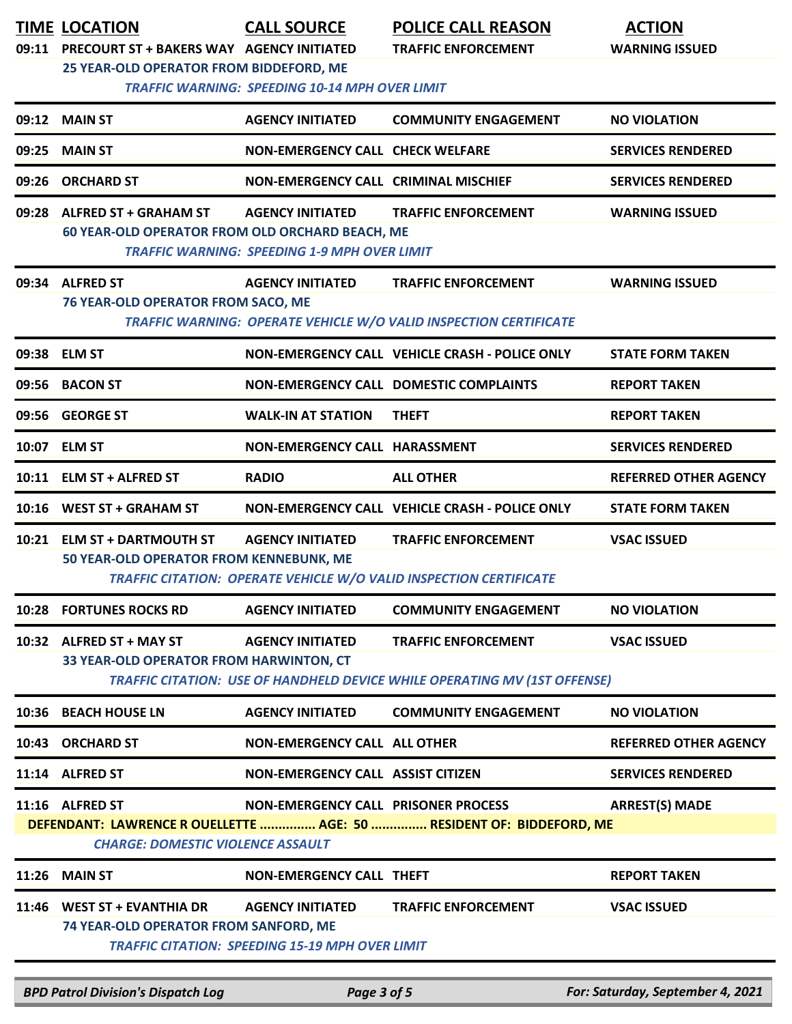| 09:11 | <b>TIME LOCATION</b><br>PRECOURT ST + BAKERS WAY AGENCY INITIATED<br>25 YEAR-OLD OPERATOR FROM BIDDEFORD, ME | <b>CALL SOURCE</b><br><b>TRAFFIC WARNING: SPEEDING 10-14 MPH OVER LIMIT</b>       | <b>POLICE CALL REASON</b><br><b>TRAFFIC ENFORCEMENT</b>                                                        | <b>ACTION</b><br><b>WARNING ISSUED</b> |
|-------|--------------------------------------------------------------------------------------------------------------|-----------------------------------------------------------------------------------|----------------------------------------------------------------------------------------------------------------|----------------------------------------|
| 09:12 | <b>MAIN ST</b>                                                                                               | <b>AGENCY INITIATED</b>                                                           | <b>COMMUNITY ENGAGEMENT</b>                                                                                    | <b>NO VIOLATION</b>                    |
| 09:25 | <b>MAIN ST</b>                                                                                               | <b>NON-EMERGENCY CALL CHECK WELFARE</b>                                           |                                                                                                                | <b>SERVICES RENDERED</b>               |
| 09:26 | <b>ORCHARD ST</b>                                                                                            | NON-EMERGENCY CALL CRIMINAL MISCHIEF                                              |                                                                                                                | <b>SERVICES RENDERED</b>               |
| 09:28 | <b>ALFRED ST + GRAHAM ST</b><br>60 YEAR-OLD OPERATOR FROM OLD ORCHARD BEACH, ME                              | <b>AGENCY INITIATED</b><br><b>TRAFFIC WARNING: SPEEDING 1-9 MPH OVER LIMIT</b>    | <b>TRAFFIC ENFORCEMENT</b>                                                                                     | <b>WARNING ISSUED</b>                  |
|       | 09:34 ALFRED ST<br>76 YEAR-OLD OPERATOR FROM SACO, ME                                                        | <b>AGENCY INITIATED</b>                                                           | <b>TRAFFIC ENFORCEMENT</b><br>TRAFFIC WARNING: OPERATE VEHICLE W/O VALID INSPECTION CERTIFICATE                | <b>WARNING ISSUED</b>                  |
|       | 09:38 ELM ST                                                                                                 |                                                                                   | NON-EMERGENCY CALL VEHICLE CRASH - POLICE ONLY                                                                 | <b>STATE FORM TAKEN</b>                |
|       | 09:56 BACON ST                                                                                               |                                                                                   | <b>NON-EMERGENCY CALL DOMESTIC COMPLAINTS</b>                                                                  | <b>REPORT TAKEN</b>                    |
|       | 09:56 GEORGE ST                                                                                              | <b>WALK-IN AT STATION</b>                                                         | <b>THEFT</b>                                                                                                   | <b>REPORT TAKEN</b>                    |
|       | 10:07 ELM ST                                                                                                 | NON-EMERGENCY CALL HARASSMENT                                                     |                                                                                                                | <b>SERVICES RENDERED</b>               |
| 10:11 | <b>ELM ST + ALFRED ST</b>                                                                                    | <b>RADIO</b>                                                                      | <b>ALL OTHER</b>                                                                                               | <b>REFERRED OTHER AGENCY</b>           |
|       | 10:16 WEST ST + GRAHAM ST                                                                                    |                                                                                   | NON-EMERGENCY CALL VEHICLE CRASH - POLICE ONLY                                                                 | <b>STATE FORM TAKEN</b>                |
| 10:21 | <b>ELM ST + DARTMOUTH ST</b><br>50 YEAR-OLD OPERATOR FROM KENNEBUNK, ME                                      | <b>AGENCY INITIATED</b>                                                           | <b>TRAFFIC ENFORCEMENT</b><br>TRAFFIC CITATION: OPERATE VEHICLE W/O VALID INSPECTION CERTIFICATE               | <b>VSAC ISSUED</b>                     |
|       | 10:28 FORTUNES ROCKS RD                                                                                      | <b>AGENCY INITIATED</b>                                                           | <b>COMMUNITY ENGAGEMENT</b>                                                                                    | <b>NO VIOLATION</b>                    |
|       | 10:32 ALFRED ST + MAY ST<br>33 YEAR-OLD OPERATOR FROM HARWINTON, CT                                          | <b>AGENCY INITIATED</b>                                                           | <b>TRAFFIC ENFORCEMENT</b><br><b>TRAFFIC CITATION: USE OF HANDHELD DEVICE WHILE OPERATING MV (1ST OFFENSE)</b> | <b>VSAC ISSUED</b>                     |
|       | 10:36 BEACH HOUSE LN                                                                                         | <b>AGENCY INITIATED</b>                                                           | <b>COMMUNITY ENGAGEMENT</b>                                                                                    | <b>NO VIOLATION</b>                    |
|       | 10:43 ORCHARD ST                                                                                             | <b>NON-EMERGENCY CALL ALL OTHER</b>                                               |                                                                                                                | <b>REFERRED OTHER AGENCY</b>           |
|       | 11:14 ALFRED ST                                                                                              | NON-EMERGENCY CALL ASSIST CITIZEN                                                 |                                                                                                                | <b>SERVICES RENDERED</b>               |
|       | 11:16 ALFRED ST<br><b>CHARGE: DOMESTIC VIOLENCE ASSAULT</b>                                                  | NON-EMERGENCY CALL PRISONER PROCESS                                               | DEFENDANT: LAWRENCE ROUELLETTE  AGE: 50  RESIDENT OF: BIDDEFORD, ME                                            | <b>ARREST(S) MADE</b>                  |
|       | <b>11:26 MAIN ST</b>                                                                                         | NON-EMERGENCY CALL THEFT                                                          |                                                                                                                | <b>REPORT TAKEN</b>                    |
|       | 11:46 WEST ST + EVANTHIA DR<br>74 YEAR-OLD OPERATOR FROM SANFORD, ME                                         | <b>AGENCY INITIATED</b><br><b>TRAFFIC CITATION: SPEEDING 15-19 MPH OVER LIMIT</b> | <b>TRAFFIC ENFORCEMENT</b>                                                                                     | <b>VSAC ISSUED</b>                     |
|       | <b>BPD Patrol Division's Dispatch Log</b>                                                                    | Page 3 of 5                                                                       |                                                                                                                | For: Saturday, September 4, 2021       |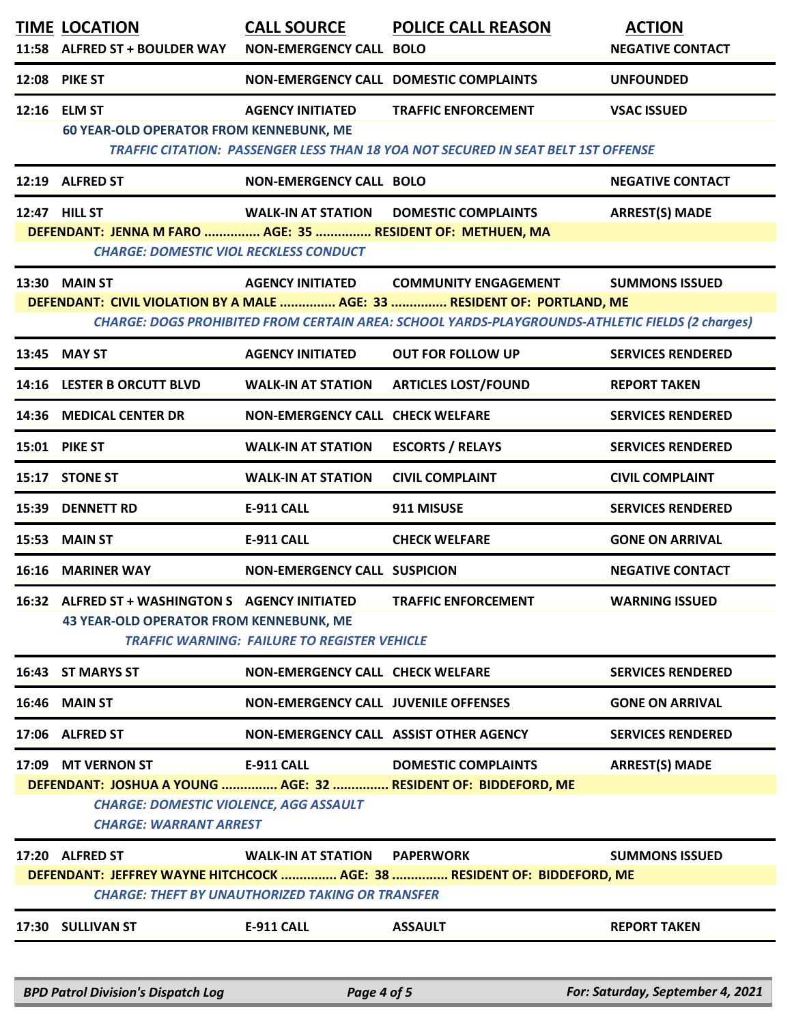|       | <b>TIME LOCATION</b><br>11:58 ALFRED ST + BOULDER WAY                                                                        | <b>CALL SOURCE</b><br><b>NON-EMERGENCY CALL BOLO</b>                                    | <b>POLICE CALL REASON</b>                                                                                                                                                                                  | <b>ACTION</b><br><b>NEGATIVE CONTACT</b> |
|-------|------------------------------------------------------------------------------------------------------------------------------|-----------------------------------------------------------------------------------------|------------------------------------------------------------------------------------------------------------------------------------------------------------------------------------------------------------|------------------------------------------|
| 12:08 | <b>PIKE ST</b>                                                                                                               |                                                                                         | NON-EMERGENCY CALL DOMESTIC COMPLAINTS                                                                                                                                                                     | <b>UNFOUNDED</b>                         |
|       | 12:16 ELM ST<br><b>60 YEAR-OLD OPERATOR FROM KENNEBUNK, ME</b>                                                               | <b>AGENCY INITIATED</b>                                                                 | <b>TRAFFIC ENFORCEMENT</b><br><b>TRAFFIC CITATION: PASSENGER LESS THAN 18 YOA NOT SECURED IN SEAT BELT 1ST OFFENSE</b>                                                                                     | <b>VSAC ISSUED</b>                       |
|       | 12:19 ALFRED ST                                                                                                              | <b>NON-EMERGENCY CALL BOLO</b>                                                          |                                                                                                                                                                                                            | <b>NEGATIVE CONTACT</b>                  |
|       | 12:47 HILL ST<br>DEFENDANT: JENNA M FARO  AGE: 35  RESIDENT OF: METHUEN, MA<br><b>CHARGE: DOMESTIC VIOL RECKLESS CONDUCT</b> |                                                                                         | <b>WALK-IN AT STATION DOMESTIC COMPLAINTS</b>                                                                                                                                                              | <b>ARREST(S) MADE</b>                    |
|       | <b>13:30 MAIN ST</b>                                                                                                         | <b>AGENCY INITIATED</b>                                                                 | <b>COMMUNITY ENGAGEMENT</b><br>DEFENDANT: CIVIL VIOLATION BY A MALE  AGE: 33  RESIDENT OF: PORTLAND, ME<br>CHARGE: DOGS PROHIBITED FROM CERTAIN AREA: SCHOOL YARDS-PLAYGROUNDS-ATHLETIC FIELDS (2 charges) | <b>SUMMONS ISSUED</b>                    |
|       | 13:45 MAY ST                                                                                                                 | <b>AGENCY INITIATED</b>                                                                 | <b>OUT FOR FOLLOW UP</b>                                                                                                                                                                                   | <b>SERVICES RENDERED</b>                 |
|       | 14:16 LESTER B ORCUTT BLVD                                                                                                   | <b>WALK-IN AT STATION</b>                                                               | <b>ARTICLES LOST/FOUND</b>                                                                                                                                                                                 | <b>REPORT TAKEN</b>                      |
|       | 14:36 MEDICAL CENTER DR                                                                                                      | NON-EMERGENCY CALL CHECK WELFARE                                                        |                                                                                                                                                                                                            | <b>SERVICES RENDERED</b>                 |
|       | 15:01 PIKE ST                                                                                                                | <b>WALK-IN AT STATION</b>                                                               | <b>ESCORTS / RELAYS</b>                                                                                                                                                                                    | <b>SERVICES RENDERED</b>                 |
| 15:17 | <b>STONE ST</b>                                                                                                              | <b>WALK-IN AT STATION</b>                                                               | <b>CIVIL COMPLAINT</b>                                                                                                                                                                                     | <b>CIVIL COMPLAINT</b>                   |
| 15:39 | <b>DENNETT RD</b>                                                                                                            | <b>E-911 CALL</b>                                                                       | 911 MISUSE                                                                                                                                                                                                 | <b>SERVICES RENDERED</b>                 |
| 15:53 | <b>MAIN ST</b>                                                                                                               | E-911 CALL                                                                              | <b>CHECK WELFARE</b>                                                                                                                                                                                       | <b>GONE ON ARRIVAL</b>                   |
| 16:16 | <b>MARINER WAY</b>                                                                                                           | <b>NON-EMERGENCY CALL SUSPICION</b>                                                     |                                                                                                                                                                                                            | <b>NEGATIVE CONTACT</b>                  |
|       | 16:32 ALFRED ST + WASHINGTON S AGENCY INITIATED<br><b>43 YEAR-OLD OPERATOR FROM KENNEBUNK, ME</b>                            | <b>TRAFFIC WARNING: FAILURE TO REGISTER VEHICLE</b>                                     | <b>TRAFFIC ENFORCEMENT</b>                                                                                                                                                                                 | <b>WARNING ISSUED</b>                    |
|       | 16:43 ST MARYS ST                                                                                                            | NON-EMERGENCY CALL CHECK WELFARE                                                        |                                                                                                                                                                                                            | <b>SERVICES RENDERED</b>                 |
|       | <b>16:46 MAIN ST</b>                                                                                                         | NON-EMERGENCY CALL JUVENILE OFFENSES                                                    |                                                                                                                                                                                                            | <b>GONE ON ARRIVAL</b>                   |
|       | 17:06 ALFRED ST                                                                                                              |                                                                                         | NON-EMERGENCY CALL ASSIST OTHER AGENCY                                                                                                                                                                     | <b>SERVICES RENDERED</b>                 |
|       | 17:09 MT VERNON ST<br><b>CHARGE: DOMESTIC VIOLENCE, AGG ASSAULT</b><br><b>CHARGE: WARRANT ARREST</b>                         | <b>E-911 CALL</b>                                                                       | <b>DOMESTIC COMPLAINTS</b><br>DEFENDANT: JOSHUA A YOUNG  AGE: 32  RESIDENT OF: BIDDEFORD, ME                                                                                                               | <b>ARREST(S) MADE</b>                    |
|       | 17:20 ALFRED ST                                                                                                              | WALK-IN AT STATION PAPERWORK<br><b>CHARGE: THEFT BY UNAUTHORIZED TAKING OR TRANSFER</b> | DEFENDANT: JEFFREY WAYNE HITCHCOCK  AGE: 38  RESIDENT OF: BIDDEFORD, ME                                                                                                                                    | <b>SUMMONS ISSUED</b>                    |
|       | 17:30 SULLIVAN ST                                                                                                            | <b>E-911 CALL</b>                                                                       | <b>ASSAULT</b>                                                                                                                                                                                             | <b>REPORT TAKEN</b>                      |
|       | <b>BPD Patrol Division's Dispatch Log</b>                                                                                    | Page 4 of 5                                                                             |                                                                                                                                                                                                            | For: Saturday, September 4, 2021         |